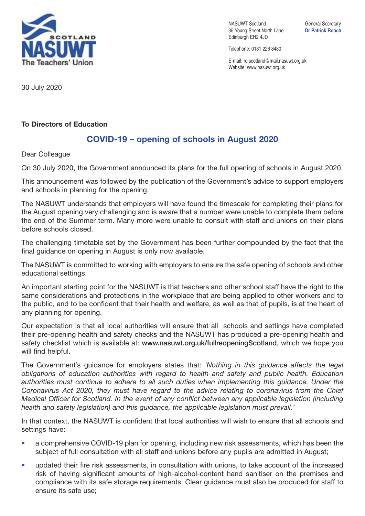

NASUWT Scotland General Secretary 35 Young Street North Lane **Dr Patrick Roach** Edinburgh EH2 4JD

Telephone: 0131 226 8480

E-mail: rc-scotland@mail.nasuwt.org.uk Website: www.nasuwt.org.uk

30 July 2020

## **To Directors of Education**

## **COVID-19 – opening of schools in August 2020**

Dear Colleague

On 30 July 2020, the Government announced its plans for the full opening of schools in August 2020.

This announcement was followed by the publication of the Government's advice to support employers and schools in planning for the opening.

The NASUWT understands that employers will have found the timescale for completing their plans for the August opening very challenging and is aware that a number were unable to complete them before the end of the Summer term. Many more were unable to consult with staff and unions on their plans before schools closed.

The challenging timetable set by the Government has been further compounded by the fact that the final guidance on opening in August is only now available.

The NASUWT is committed to working with employers to ensure the safe opening of schools and other educational settings.

An important starting point for the NASUWT is that teachers and other school staff have the right to the same considerations and protections in the workplace that are being applied to other workers and to the public, and to be confident that their health and welfare, as well as that of pupils, is at the heart of any planning for opening.

Our expectation is that all local authorities will ensure that all schools and settings have completed their pre-opening health and safety checks and the NASUWT has produced a pre-opening health and safety checklist which is available at: **www.nasuwt.org.uk/fullreopeningScotland**, which we hope you will find helpful.

The Government's guidance for employers states that: *'Nothing in this guidance affects the legal obligations of education authorities with regard to health and safety and public health. Education authorities must continue to adhere to all such duties when implementing this guidance. Under the Coronavirus Act 2020, they must have regard to the advice relating to coronavirus from the Chief Medical Officer for Scotland. In the event of any conflict between any applicable legislation (including health and safety legislation) and this guidance, the applicable legislation must prevail.'*

In that context, the NASUWT is confident that local authorities will wish to ensure that all schools and settings have:

- a comprehensive COVID-19 plan for opening, including new risk assessments, which has been the subject of full consultation with all staff and unions before any pupils are admitted in August;
- updated their fire risk assessments, in consultation with unions, to take account of the increased risk of having significant amounts of high-alcohol-content hand sanitiser on the premises and compliance with its safe storage requirements. Clear guidance must also be produced for staff to ensure its safe use;